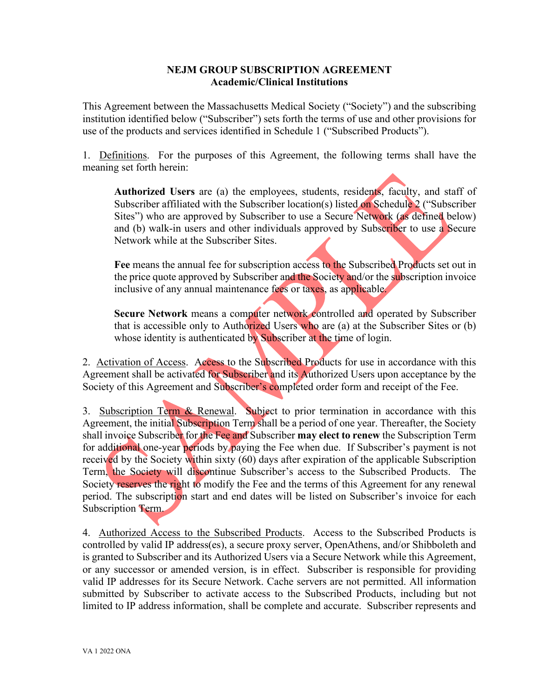#### **NEJM GROUP SUBSCRIPTION AGREEMENT Academic/Clinical Institutions**

This Agreement between the Massachusetts Medical Society ("Society") and the subscribing institution identified below ("Subscriber") sets forth the terms of use and other provisions for use of the products and services identified in Schedule 1 ("Subscribed Products").

1. Definitions. For the purposes of this Agreement, the following terms shall have the meaning set forth herein:

**Authorized Users** are (a) the employees, students, residents, faculty, and staff of Subscriber affiliated with the Subscriber location(s) listed on Schedule 2 ("Subscriber Sites") who are approved by Subscriber to use a Secure Network (as defined below) and (b) walk-in users and other individuals approved by Subscriber to use a Secure Network while at the Subscriber Sites.

**Fee** means the annual fee for subscription access to the Subscribed Products set out in the price quote approved by Subscriber and the Society and/or the subscription invoice inclusive of any annual maintenance fees or taxes, as applicable.

**Secure Network** means a computer network controlled and operated by Subscriber that is accessible only to Authorized Users who are (a) at the Subscriber Sites or (b) whose identity is authenticated by Subscriber at the time of login.

2. Activation of Access. Access to the Subscribed Products for use in accordance with this Agreement shall be activated for Subscriber and its Authorized Users upon acceptance by the Society of this Agreement and Subscriber's completed order form and receipt of the Fee.

3. Subscription Term & Renewal. Subject to prior termination in accordance with this Agreement, the initial Subscription Term shall be a period of one year. Thereafter, the Society shall invoice Subscriber for the Fee and Subscriber **may elect to renew** the Subscription Term for additional one-year periods by paying the Fee when due. If Subscriber's payment is not received by the Society within sixty (60) days after expiration of the applicable Subscription Term, the Society will discontinue Subscriber's access to the Subscribed Products. The Society reserves the right to modify the Fee and the terms of this Agreement for any renewal period. The subscription start and end dates will be listed on Subscriber's invoice for each Subscription Term.

4.Authorized Access to the Subscribed Products. Access to the Subscribed Products is controlled by valid IP address(es), a secure proxy server, OpenAthens, and/or Shibboleth and is granted to Subscriber and its Authorized Users via a Secure Network while this Agreement, or any successor or amended version, is in effect. Subscriber is responsible for providing valid IP addresses for its Secure Network. Cache servers are not permitted. All information submitted by Subscriber to activate access to the Subscribed Products, including but not limited to IP address information, shall be complete and accurate. Subscriber represents and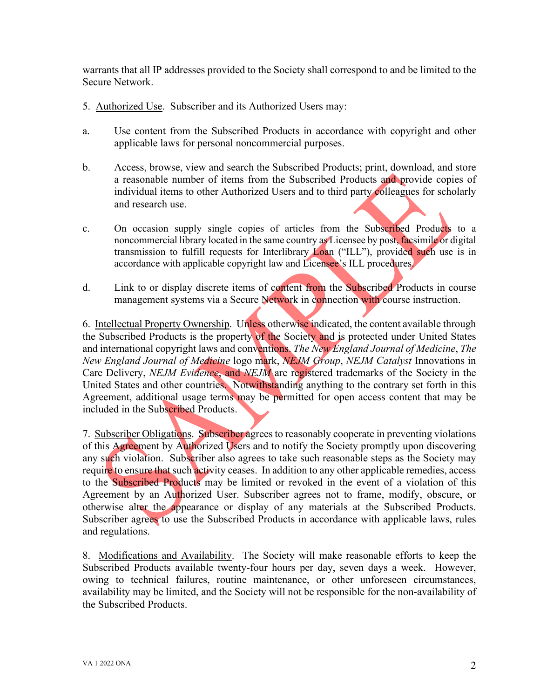warrants that all IP addresses provided to the Society shall correspond to and be limited to the Secure Network.

- 5. Authorized Use. Subscriber and its Authorized Users may:
- a. Use content from the Subscribed Products in accordance with copyright and other applicable laws for personal noncommercial purposes.
- b. Access, browse, view and search the Subscribed Products; print, download, and store a reasonable number of items from the Subscribed Products and provide copies of individual items to other Authorized Users and to third party colleagues for scholarly and research use.
- c. On occasion supply single copies of articles from the Subscribed Products to a noncommercial library located in the same country as Licensee by post, facsimile or digital transmission to fulfill requests for Interlibrary Loan ("ILL"), provided such use is in accordance with applicable copyright law and Licensee's ILL procedures.
- d. Link to or display discrete items of content from the Subscribed Products in course management systems via a Secure Network in connection with course instruction.

6. Intellectual Property Ownership. Unless otherwise indicated, the content available through the Subscribed Products is the property of the Society and is protected under United States and international copyright laws and conventions. *The New England Journal of Medicine*, *The New England Journal of Medicine* logo mark, *NEJM Group*, *NEJM Catalyst* Innovations in Care Delivery, *NEJM Evidence*, and *NEJM* are registered trademarks of the Society in the United States and other countries. Notwithstanding anything to the contrary set forth in this Agreement, additional usage terms may be permitted for open access content that may be included in the Subscribed Products.

7. Subscriber Obligations. Subscriber agrees to reasonably cooperate in preventing violations of this Agreement by Authorized Users and to notify the Society promptly upon discovering any such violation. Subscriber also agrees to take such reasonable steps as the Society may require to ensure that such activity ceases. In addition to any other applicable remedies, access to the Subscribed Products may be limited or revoked in the event of a violation of this Agreement by an Authorized User. Subscriber agrees not to frame, modify, obscure, or otherwise alter the appearance or display of any materials at the Subscribed Products. Subscriber agrees to use the Subscribed Products in accordance with applicable laws, rules and regulations.

8. Modifications and Availability. The Society will make reasonable efforts to keep the Subscribed Products available twenty-four hours per day, seven days a week. However, owing to technical failures, routine maintenance, or other unforeseen circumstances, availability may be limited, and the Society will not be responsible for the non-availability of the Subscribed Products.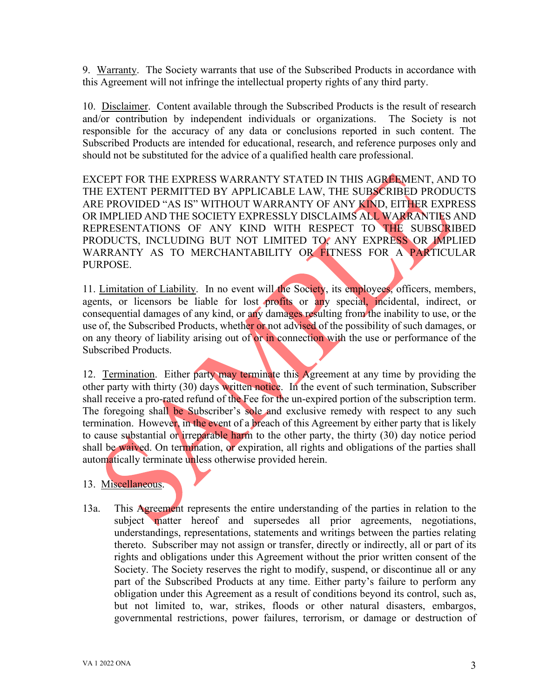9. Warranty. The Society warrants that use of the Subscribed Products in accordance with this Agreement will not infringe the intellectual property rights of any third party.

10. Disclaimer. Content available through the Subscribed Products is the result of research and/or contribution by independent individuals or organizations. The Society is not responsible for the accuracy of any data or conclusions reported in such content. The Subscribed Products are intended for educational, research, and reference purposes only and should not be substituted for the advice of a qualified health care professional.

EXCEPT FOR THE EXPRESS WARRANTY STATED IN THIS AGREEMENT, AND TO THE EXTENT PERMITTED BY APPLICABLE LAW, THE SUBSCRIBED PRODUCTS ARE PROVIDED "AS IS" WITHOUT WARRANTY OF ANY KIND, EITHER EXPRESS OR IMPLIED AND THE SOCIETY EXPRESSLY DISCLAIMS ALL WARRANTIES AND REPRESENTATIONS OF ANY KIND WITH RESPECT TO THE SUBSCRIBED PRODUCTS, INCLUDING BUT NOT LIMITED TO, ANY EXPRESS OR IMPLIED WARRANTY AS TO MERCHANTABILITY OR FITNESS FOR A PARTICULAR PURPOSE.

11. Limitation of Liability. In no event will the Society, its employees, officers, members, agents, or licensors be liable for lost profits or any special, incidental, indirect, or consequential damages of any kind, or any damages resulting from the inability to use, or the use of, the Subscribed Products, whether or not advised of the possibility of such damages, or on any theory of liability arising out of or in connection with the use or performance of the Subscribed Products.

12. Termination. Either party may terminate this Agreement at any time by providing the other party with thirty (30) days written notice. In the event of such termination, Subscriber shall receive a pro-rated refund of the Fee for the un-expired portion of the subscription term. The foregoing shall be Subscriber's sole and exclusive remedy with respect to any such termination. However, in the event of a breach of this Agreement by either party that is likely to cause substantial or irreparable harm to the other party, the thirty (30) day notice period shall be waived. On termination, or expiration, all rights and obligations of the parties shall automatically terminate unless otherwise provided herein.

## 13. Miscellaneous.

13a. This Agreement represents the entire understanding of the parties in relation to the subject matter hereof and supersedes all prior agreements, negotiations, understandings, representations, statements and writings between the parties relating thereto. Subscriber may not assign or transfer, directly or indirectly, all or part of its rights and obligations under this Agreement without the prior written consent of the Society. The Society reserves the right to modify, suspend, or discontinue all or any part of the Subscribed Products at any time. Either party's failure to perform any obligation under this Agreement as a result of conditions beyond its control, such as, but not limited to, war, strikes, floods or other natural disasters, embargos, governmental restrictions, power failures, terrorism, or damage or destruction of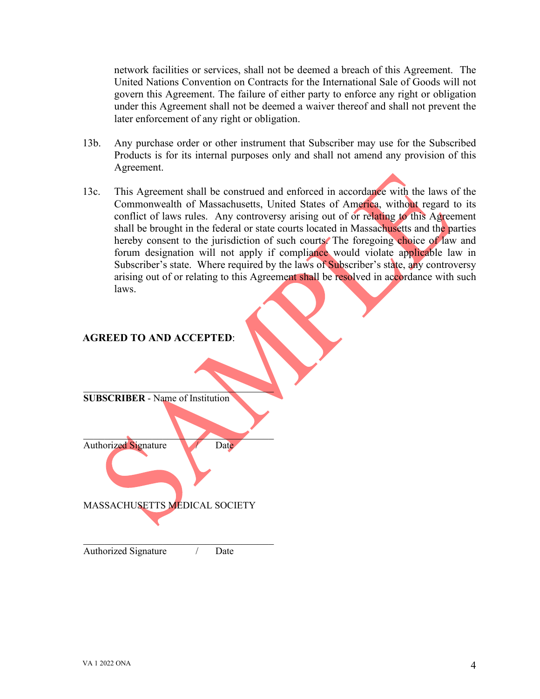network facilities or services, shall not be deemed a breach of this Agreement. The United Nations Convention on Contracts for the International Sale of Goods will not govern this Agreement. The failure of either party to enforce any right or obligation under this Agreement shall not be deemed a waiver thereof and shall not prevent the later enforcement of any right or obligation.

- 13b. Any purchase order or other instrument that Subscriber may use for the Subscribed Products is for its internal purposes only and shall not amend any provision of this Agreement.
- 13c. This Agreement shall be construed and enforced in accordance with the laws of the Commonwealth of Massachusetts, United States of America, without regard to its conflict of laws rules. Any controversy arising out of or relating to this Agreement shall be brought in the federal or state courts located in Massachusetts and the parties hereby consent to the jurisdiction of such courts. The foregoing choice of law and forum designation will not apply if compliance would violate applicable law in Subscriber's state. Where required by the laws of Subscriber's state, any controversy arising out of or relating to this Agreement shall be resolved in accordance with such laws.

#### **AGREED TO AND ACCEPTED**:

**SUBSCRIBER** - Name of Institution

 $\mathcal{L}=\mathcal{L}=\mathcal{L}=\mathcal{L}=\mathcal{L}=\mathcal{L}=\mathcal{L}=\mathcal{L}=\mathcal{L}=\mathcal{L}=\mathcal{L}=\mathcal{L}=\mathcal{L}=\mathcal{L}=\mathcal{L}=\mathcal{L}=\mathcal{L}=\mathcal{L}=\mathcal{L}=\mathcal{L}=\mathcal{L}=\mathcal{L}=\mathcal{L}=\mathcal{L}=\mathcal{L}=\mathcal{L}=\mathcal{L}=\mathcal{L}=\mathcal{L}=\mathcal{L}=\mathcal{L}=\mathcal{L}=\mathcal{L}=\mathcal{L}=\mathcal{L}=\mathcal{L}=\mathcal{$ 

 $\mathcal{L}=\mathcal{L}^{\mathcal{L}}$ Authorized Signature */ Date* 

MASSACHUSETTS MEDICAL SOCIETY

 $\mathcal{L}_\mathcal{L}$  , which is a set of the set of the set of the set of the set of the set of the set of the set of the set of the set of the set of the set of the set of the set of the set of the set of the set of the set of Authorized Signature / Date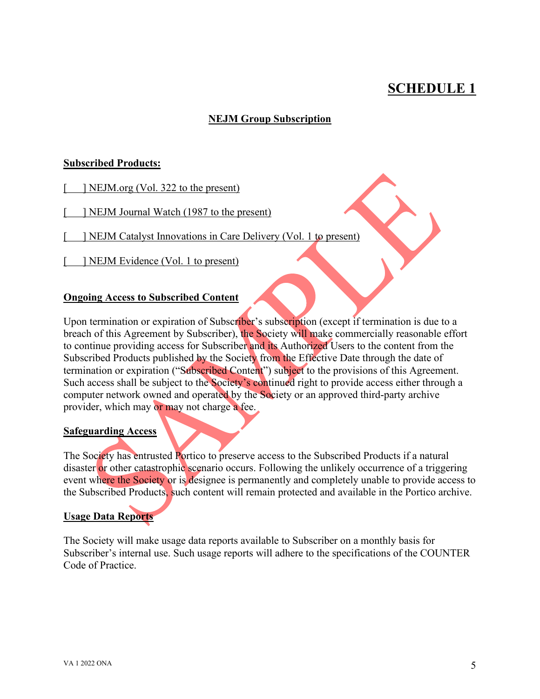# **SCHEDULE 1**

## **NEJM Group Subscription**

#### **Subscribed Products:**

- [ ] NEJM.org (Vol. 322 to the present)
- [ ] NEJM Journal Watch (1987 to the present)
- [ ] NEJM Catalyst Innovations in Care Delivery (Vol. 1 to present)
- [ ] NEJM Evidence (Vol. 1 to present)

#### **Ongoing Access to Subscribed Content**

Upon termination or expiration of Subscriber's subscription (except if termination is due to a breach of this Agreement by Subscriber), the Society will make commercially reasonable effort to continue providing access for Subscriber and its Authorized Users to the content from the Subscribed Products published by the Society from the Effective Date through the date of termination or expiration ("Subscribed Content") subject to the provisions of this Agreement. Such access shall be subject to the Society's continued right to provide access either through a computer network owned and operated by the Society or an approved third-party archive provider, which may or may not charge a fee.

#### **Safeguarding Access**

The Society has entrusted Portico to preserve access to the Subscribed Products if a natural disaster or other catastrophic scenario occurs. Following the unlikely occurrence of a triggering event where the Society or is designee is permanently and completely unable to provide access to the Subscribed Products, such content will remain protected and available in the Portico archive.

#### **Usage Data Reports**

The Society will make usage data reports available to Subscriber on a monthly basis for Subscriber's internal use. Such usage reports will adhere to the specifications of the COUNTER Code of Practice.